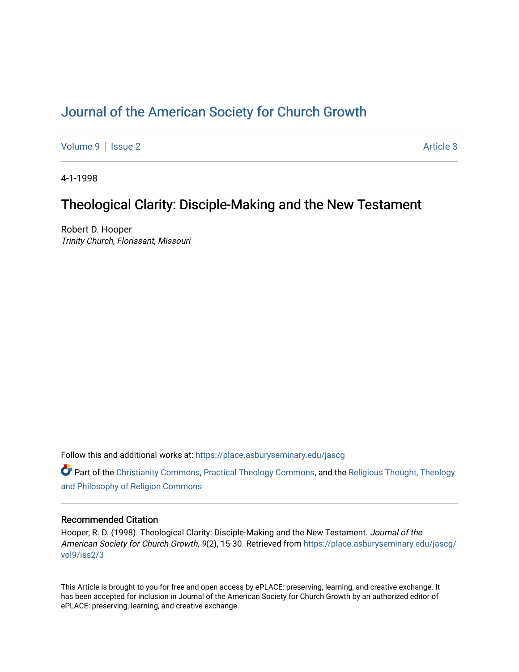# [Journal of the American Society for Church Growth](https://place.asburyseminary.edu/jascg)

[Volume 9](https://place.asburyseminary.edu/jascg/vol9) | [Issue 2](https://place.asburyseminary.edu/jascg/vol9/iss2) Article 3

4-1-1998

## Theological Clarity: Disciple-Making and the New Testament

Robert D. Hooper Trinity Church, Florissant, Missouri

Follow this and additional works at: [https://place.asburyseminary.edu/jascg](https://place.asburyseminary.edu/jascg?utm_source=place.asburyseminary.edu%2Fjascg%2Fvol9%2Fiss2%2F3&utm_medium=PDF&utm_campaign=PDFCoverPages)

Part of the [Christianity Commons,](https://network.bepress.com/hgg/discipline/1181?utm_source=place.asburyseminary.edu%2Fjascg%2Fvol9%2Fiss2%2F3&utm_medium=PDF&utm_campaign=PDFCoverPages) [Practical Theology Commons](https://network.bepress.com/hgg/discipline/1186?utm_source=place.asburyseminary.edu%2Fjascg%2Fvol9%2Fiss2%2F3&utm_medium=PDF&utm_campaign=PDFCoverPages), and the [Religious Thought, Theology](https://network.bepress.com/hgg/discipline/544?utm_source=place.asburyseminary.edu%2Fjascg%2Fvol9%2Fiss2%2F3&utm_medium=PDF&utm_campaign=PDFCoverPages)  [and Philosophy of Religion Commons](https://network.bepress.com/hgg/discipline/544?utm_source=place.asburyseminary.edu%2Fjascg%2Fvol9%2Fiss2%2F3&utm_medium=PDF&utm_campaign=PDFCoverPages)

## Recommended Citation

Hooper, R. D. (1998). Theological Clarity: Disciple-Making and the New Testament. Journal of the American Society for Church Growth, 9(2), 15-30. Retrieved from [https://place.asburyseminary.edu/jascg/](https://place.asburyseminary.edu/jascg/vol9/iss2/3?utm_source=place.asburyseminary.edu%2Fjascg%2Fvol9%2Fiss2%2F3&utm_medium=PDF&utm_campaign=PDFCoverPages) [vol9/iss2/3](https://place.asburyseminary.edu/jascg/vol9/iss2/3?utm_source=place.asburyseminary.edu%2Fjascg%2Fvol9%2Fiss2%2F3&utm_medium=PDF&utm_campaign=PDFCoverPages) 

This Article is brought to you for free and open access by ePLACE: preserving, learning, and creative exchange. It has been accepted for inclusion in Journal of the American Society for Church Growth by an authorized editor of ePLACE: preserving, learning, and creative exchange.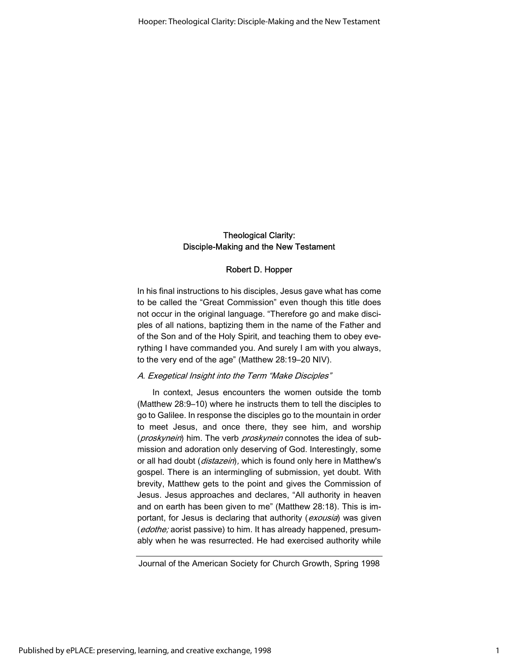## Theological Clarity: Disciple-Making and the New Testament

#### Robert D. Hopper

In his final instructions to his disciples, Jesus gave what has come to be called the "Great Commission" even though this title does not occur in the original language. "Therefore go and make disciples of all nations, baptizing them in the name of the Father and of the Son and of the Holy Spirit, and teaching them to obey everything I have commanded you. And surely I am with you always, to the very end of the age" (Matthew 28:19–20 NIV).

#### A. Exegetical Insight into the Term "Make Disciples"

In context, Jesus encounters the women outside the tomb (Matthew 28:9–10) where he instructs them to tell the disciples to go to Galilee. In response the disciples go to the mountain in order to meet Jesus, and once there, they see him, and worship (proskynein) him. The verb proskynein connotes the idea of submission and adoration only deserving of God. Interestingly, some or all had doubt (distazein), which is found only here in Matthew's gospel. There is an intermingling of submission, yet doubt. With brevity, Matthew gets to the point and gives the Commission of Jesus. Jesus approaches and declares, "All authority in heaven and on earth has been given to me" (Matthew 28:18). This is important, for Jesus is declaring that authority (exousia) was given (edothe; aorist passive) to him. It has already happened, presumably when he was resurrected. He had exercised authority while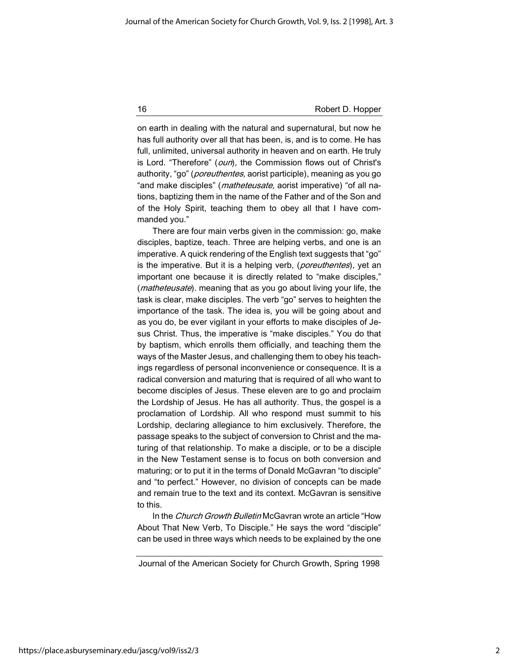16 **Robert D. Hopper** Robert D. Hopper

on earth in dealing with the natural and supernatural, but now he has full authority over all that has been, is, and is to come. He has full, unlimited, universal authority in heaven and on earth. He truly is Lord. "Therefore" (oun), the Commission flows out of Christ's authority, "go" (*poreuthentes*, aorist participle), meaning as you go "and make disciples" (*matheteusate*, aorist imperative) "of all nations, baptizing them in the name of the Father and of the Son and of the Holy Spirit, teaching them to obey all that I have commanded you."

There are four main verbs given in the commission: go, make disciples, baptize, teach. Three are helping verbs, and one is an imperative. A quick rendering of the English text suggests that "go" is the imperative. But it is a helping verb, (poreuthentes), yet an important one because it is directly related to "make disciples," (*matheteusate*). meaning that as you go about living your life, the task is clear, make disciples. The verb "go" serves to heighten the importance of the task. The idea is, you will be going about and as you do, be ever vigilant in your efforts to make disciples of Jesus Christ. Thus, the imperative is "make disciples." You do that by baptism, which enrolls them officially, and teaching them the ways of the Master Jesus, and challenging them to obey his teachings regardless of personal inconvenience or consequence. It is a radical conversion and maturing that is required of all who want to become disciples of Jesus. These eleven are to go and proclaim the Lordship of Jesus. He has all authority. Thus, the gospel is a proclamation of Lordship. All who respond must summit to his Lordship, declaring allegiance to him exclusively. Therefore, the passage speaks to the subject of conversion to Christ and the maturing of that relationship. To make a disciple, or to be a disciple in the New Testament sense is to focus on both conversion and maturing; or to put it in the terms of Donald McGavran "to disciple" and "to perfect." However, no division of concepts can be made and remain true to the text and its context. McGavran is sensitive to this.

In the Church Growth Bulletin McGavran wrote an article "How About That New Verb, To Disciple." He says the word "disciple" can be used in three ways which needs to be explained by the one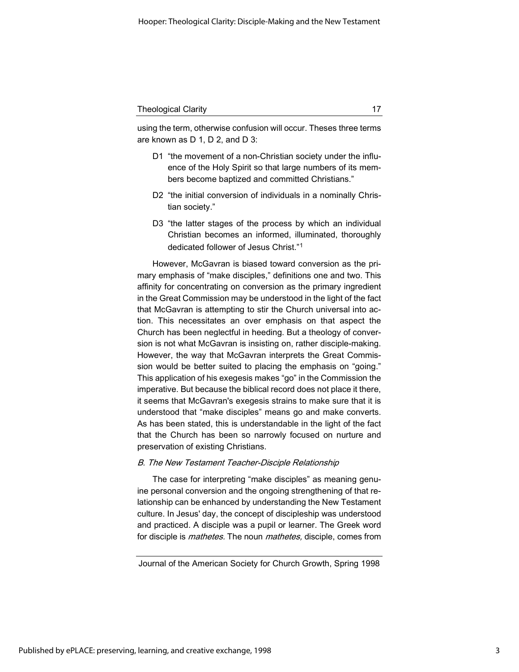using the term, otherwise confusion will occur. Theses three terms are known as D 1, D 2, and D 3:

- D1 "the movement of a non-Christian society under the influence of the Holy Spirit so that large numbers of its members become baptized and committed Christians."
- D2 "the initial conversion of individuals in a nominally Christian society."
- D3 "the latter stages of the process by which an individual Christian becomes an informed, illuminated, thoroughly dedicated follower of Jesus Christ."<sup>1</sup>

However, McGavran is biased toward conversion as the primary emphasis of "make disciples," definitions one and two. This affinity for concentrating on conversion as the primary ingredient in the Great Commission may be understood in the light of the fact that McGavran is attempting to stir the Church universal into action. This necessitates an over emphasis on that aspect the Church has been neglectful in heeding. But a theology of conversion is not what McGavran is insisting on, rather disciple-making. However, the way that McGavran interprets the Great Commission would be better suited to placing the emphasis on "going." This application of his exegesis makes "go" in the Commission the imperative. But because the biblical record does not place it there, it seems that McGavran's exegesis strains to make sure that it is understood that "make disciples" means go and make converts. As has been stated, this is understandable in the light of the fact that the Church has been so narrowly focused on nurture and preservation of existing Christians.

#### B. The New Testament Teacher-Disciple Relationship

The case for interpreting "make disciples" as meaning genuine personal conversion and the ongoing strengthening of that relationship can be enhanced by understanding the New Testament culture. In Jesus' day, the concept of discipleship was understood and practiced. A disciple was a pupil or learner. The Greek word for disciple is *mathetes*. The noun *mathetes*, disciple, comes from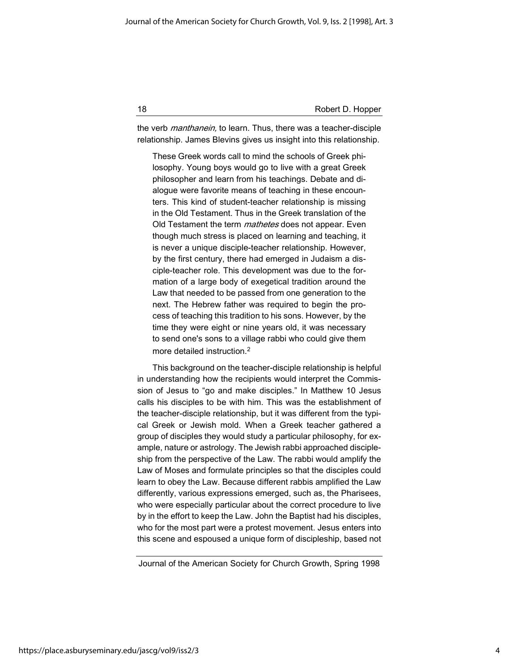18 **Robert D. Hopper** Robert D. Hopper

the verb *manthanein*, to learn. Thus, there was a teacher-disciple relationship. James Blevins gives us insight into this relationship.

These Greek words call to mind the schools of Greek philosophy. Young boys would go to live with a great Greek philosopher and learn from his teachings. Debate and dialogue were favorite means of teaching in these encounters. This kind of student-teacher relationship is missing in the Old Testament. Thus in the Greek translation of the Old Testament the term *mathetes* does not appear. Even though much stress is placed on learning and teaching, it is never a unique disciple-teacher relationship. However, by the first century, there had emerged in Judaism a disciple-teacher role. This development was due to the formation of a large body of exegetical tradition around the Law that needed to be passed from one generation to the next. The Hebrew father was required to begin the process of teaching this tradition to his sons. However, by the time they were eight or nine years old, it was necessary to send one's sons to a village rabbi who could give them more detailed instruction.<sup>2</sup>

This background on the teacher-disciple relationship is helpful in understanding how the recipients would interpret the Commission of Jesus to "go and make disciples." In Matthew 10 Jesus calls his disciples to be with him. This was the establishment of the teacher-disciple relationship, but it was different from the typical Greek or Jewish mold. When a Greek teacher gathered a group of disciples they would study a particular philosophy, for example, nature or astrology. The Jewish rabbi approached discipleship from the perspective of the Law. The rabbi would amplify the Law of Moses and formulate principles so that the disciples could learn to obey the Law. Because different rabbis amplified the Law differently, various expressions emerged, such as, the Pharisees, who were especially particular about the correct procedure to live by in the effort to keep the Law. John the Baptist had his disciples, who for the most part were a protest movement. Jesus enters into this scene and espoused a unique form of discipleship, based not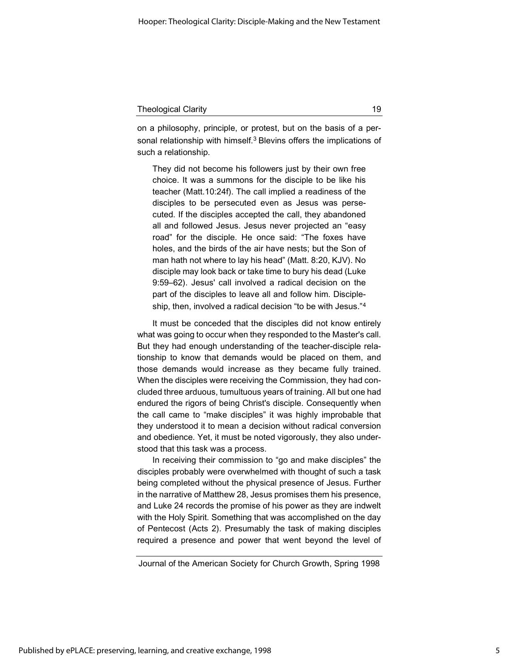| <b>Theological Clarity</b> |  |
|----------------------------|--|
|                            |  |

on a philosophy, principle, or protest, but on the basis of a personal relationship with himself.<sup>3</sup> Blevins offers the implications of such a relationship.

They did not become his followers just by their own free choice. It was a summons for the disciple to be like his teacher (Matt.10:24f). The call implied a readiness of the disciples to be persecuted even as Jesus was persecuted. If the disciples accepted the call, they abandoned all and followed Jesus. Jesus never projected an "easy road" for the disciple. He once said: "The foxes have holes, and the birds of the air have nests; but the Son of man hath not where to lay his head" (Matt. 8:20, KJV). No disciple may look back or take time to bury his dead (Luke 9:59–62). Jesus' call involved a radical decision on the part of the disciples to leave all and follow him. Discipleship, then, involved a radical decision "to be with Jesus."<sup>4</sup>

It must be conceded that the disciples did not know entirely what was going to occur when they responded to the Master's call. But they had enough understanding of the teacher-disciple relationship to know that demands would be placed on them, and those demands would increase as they became fully trained. When the disciples were receiving the Commission, they had concluded three arduous, tumultuous years of training. All but one had endured the rigors of being Christ's disciple. Consequently when the call came to "make disciples" it was highly improbable that they understood it to mean a decision without radical conversion and obedience. Yet, it must be noted vigorously, they also understood that this task was a process.

In receiving their commission to "go and make disciples" the disciples probably were overwhelmed with thought of such a task being completed without the physical presence of Jesus. Further in the narrative of Matthew 28, Jesus promises them his presence, and Luke 24 records the promise of his power as they are indwelt with the Holy Spirit. Something that was accomplished on the day of Pentecost (Acts 2). Presumably the task of making disciples required a presence and power that went beyond the level of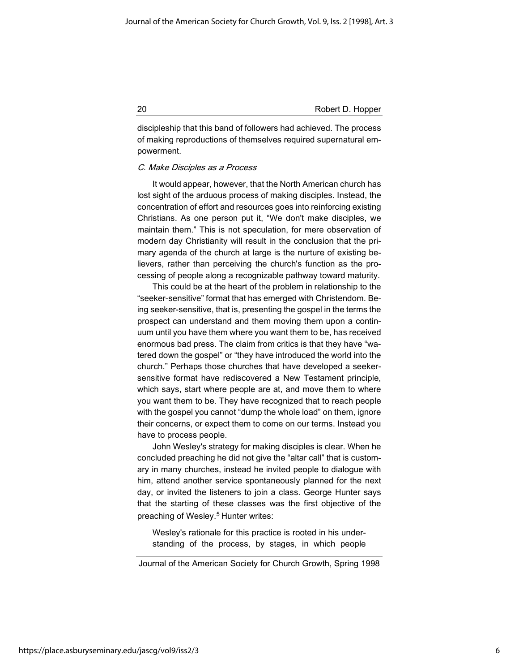discipleship that this band of followers had achieved. The process of making reproductions of themselves required supernatural empowerment.

#### C. Make Disciples as a Process

It would appear, however, that the North American church has lost sight of the arduous process of making disciples. Instead, the concentration of effort and resources goes into reinforcing existing Christians. As one person put it, "We don't make disciples, we maintain them." This is not speculation, for mere observation of modern day Christianity will result in the conclusion that the primary agenda of the church at large is the nurture of existing believers, rather than perceiving the church's function as the processing of people along a recognizable pathway toward maturity.

This could be at the heart of the problem in relationship to the "seeker-sensitive" format that has emerged with Christendom. Being seeker-sensitive, that is, presenting the gospel in the terms the prospect can understand and them moving them upon a continuum until you have them where you want them to be, has received enormous bad press. The claim from critics is that they have "watered down the gospel" or "they have introduced the world into the church." Perhaps those churches that have developed a seekersensitive format have rediscovered a New Testament principle, which says, start where people are at, and move them to where you want them to be. They have recognized that to reach people with the gospel you cannot "dump the whole load" on them, ignore their concerns, or expect them to come on our terms. Instead you have to process people.

John Wesley's strategy for making disciples is clear. When he concluded preaching he did not give the "altar call" that is customary in many churches, instead he invited people to dialogue with him, attend another service spontaneously planned for the next day, or invited the listeners to join a class. George Hunter says that the starting of these classes was the first objective of the preaching of Wesley.<sup>5</sup> Hunter writes:

Wesley's rationale for this practice is rooted in his understanding of the process, by stages, in which people

https://place.asburyseminary.edu/jascg/vol9/iss2/3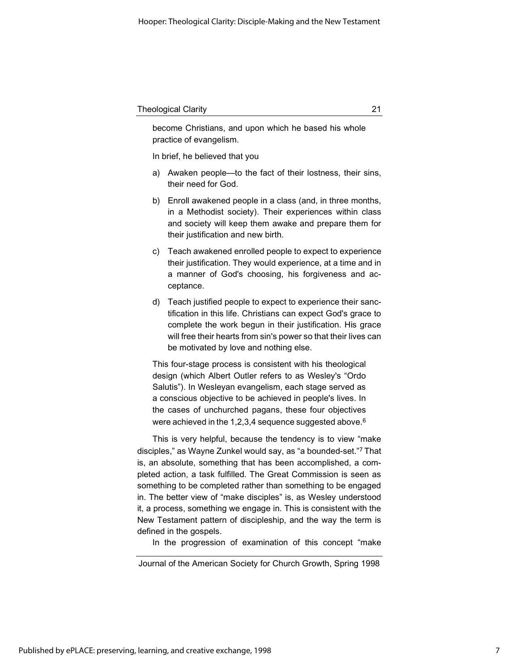become Christians, and upon which he based his whole practice of evangelism.

In brief, he believed that you

- a) Awaken people—to the fact of their lostness, their sins, their need for God.
- b) Enroll awakened people in a class (and, in three months, in a Methodist society). Their experiences within class and society will keep them awake and prepare them for their justification and new birth.
- c) Teach awakened enrolled people to expect to experience their justification. They would experience, at a time and in a manner of God's choosing, his forgiveness and acceptance.
- d) Teach justified people to expect to experience their sanctification in this life. Christians can expect God's grace to complete the work begun in their justification. His grace will free their hearts from sin's power so that their lives can be motivated by love and nothing else.

This four-stage process is consistent with his theological design (which Albert Outler refers to as Wesley's "Ordo Salutis"). In Wesleyan evangelism, each stage served as a conscious objective to be achieved in people's lives. In the cases of unchurched pagans, these four objectives were achieved in the 1,2,3,4 sequence suggested above.<sup>6</sup>

This is very helpful, because the tendency is to view "make disciples," as Wayne Zunkel would say, as "a bounded-set."<sup>7</sup>That is, an absolute, something that has been accomplished, a completed action, a task fulfilled. The Great Commission is seen as something to be completed rather than something to be engaged in. The better view of "make disciples" is, as Wesley understood it, a process, something we engage in. This is consistent with the New Testament pattern of discipleship, and the way the term is defined in the gospels.

In the progression of examination of this concept "make

Journal of the American Society for Church Growth, Spring 1998

7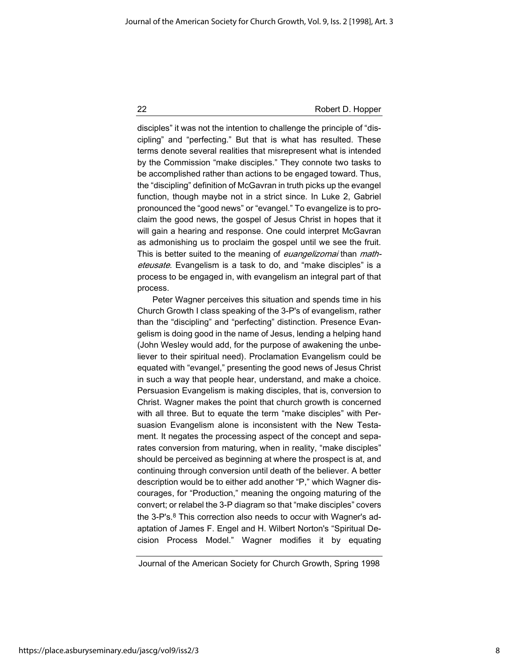disciples" it was not the intention to challenge the principle of "discipling" and "perfecting." But that is what has resulted. These terms denote several realities that misrepresent what is intended by the Commission "make disciples." They connote two tasks to be accomplished rather than actions to be engaged toward. Thus, the "discipling" definition of McGavran in truth picks up the evangel function, though maybe not in a strict since. In Luke 2, Gabriel pronounced the "good news" or "evangel." To evangelize is to proclaim the good news, the gospel of Jesus Christ in hopes that it will gain a hearing and response. One could interpret McGavran as admonishing us to proclaim the gospel until we see the fruit. This is better suited to the meaning of *euangelizomai* than *math*eteusate. Evangelism is a task to do, and "make disciples" is a process to be engaged in, with evangelism an integral part of that process.

Peter Wagner perceives this situation and spends time in his Church Growth I class speaking of the 3-P's of evangelism, rather than the "discipling" and "perfecting" distinction. Presence Evangelism is doing good in the name of Jesus, lending a helping hand (John Wesley would add, for the purpose of awakening the unbeliever to their spiritual need). Proclamation Evangelism could be equated with "evangel," presenting the good news of Jesus Christ in such a way that people hear, understand, and make a choice. Persuasion Evangelism is making disciples, that is, conversion to Christ. Wagner makes the point that church growth is concerned with all three. But to equate the term "make disciples" with Persuasion Evangelism alone is inconsistent with the New Testament. It negates the processing aspect of the concept and separates conversion from maturing, when in reality, "make disciples" should be perceived as beginning at where the prospect is at, and continuing through conversion until death of the believer. A better description would be to either add another "P," which Wagner discourages, for "Production," meaning the ongoing maturing of the convert; or relabel the 3-P diagram so that "make disciples" covers the 3-P's.<sup>8</sup> This correction also needs to occur with Wagner's adaptation of James F. Engel and H. Wilbert Norton's "Spiritual Decision Process Model." Wagner modifies it by equating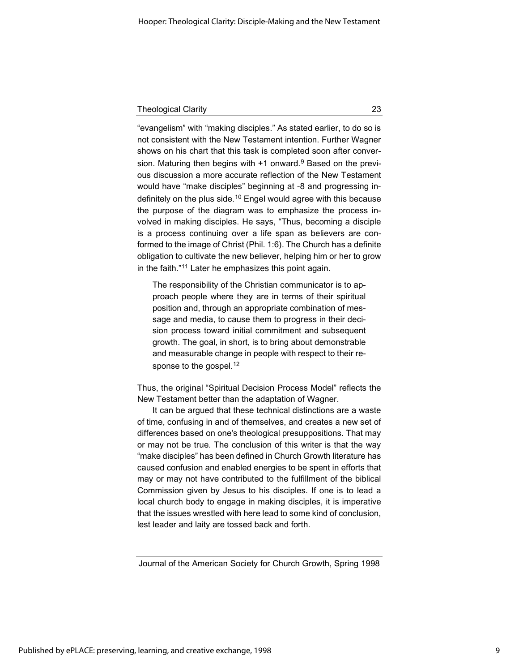"evangelism" with "making disciples." As stated earlier, to do so is not consistent with the New Testament intention. Further Wagner shows on his chart that this task is completed soon after conversion. Maturing then begins with +1 onward.<sup>9</sup> Based on the previous discussion a more accurate reflection of the New Testament would have "make disciples" beginning at -8 and progressing indefinitely on the plus side.<sup>10</sup> Engel would agree with this because the purpose of the diagram was to emphasize the process involved in making disciples. He says, "Thus, becoming a disciple is a process continuing over a life span as believers are conformed to the image of Christ (Phil. 1:6). The Church has a definite obligation to cultivate the new believer, helping him or her to grow in the faith."<sup>11</sup> Later he emphasizes this point again.

The responsibility of the Christian communicator is to approach people where they are in terms of their spiritual position and, through an appropriate combination of message and media, to cause them to progress in their decision process toward initial commitment and subsequent growth. The goal, in short, is to bring about demonstrable and measurable change in people with respect to their response to the gospel.<sup>12</sup>

Thus, the original "Spiritual Decision Process Model" reflects the New Testament better than the adaptation of Wagner.

It can be argued that these technical distinctions are a waste of time, confusing in and of themselves, and creates a new set of differences based on one's theological presuppositions. That may or may not be true. The conclusion of this writer is that the way "make disciples" has been defined in Church Growth literature has caused confusion and enabled energies to be spent in efforts that may or may not have contributed to the fulfillment of the biblical Commission given by Jesus to his disciples. If one is to lead a local church body to engage in making disciples, it is imperative that the issues wrestled with here lead to some kind of conclusion, lest leader and laity are tossed back and forth.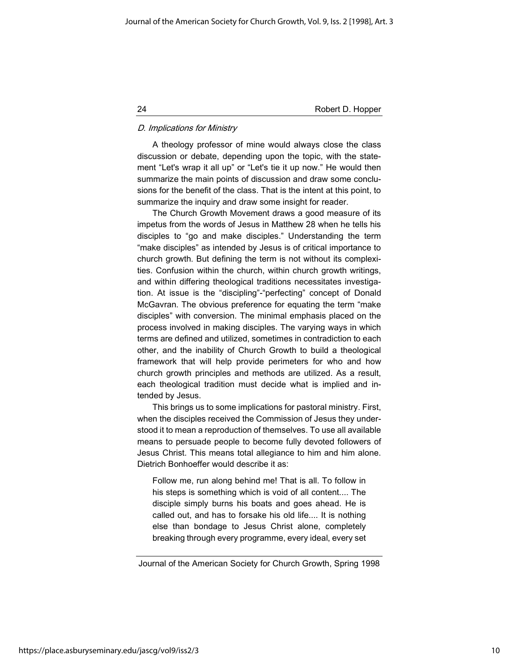## D. Implications for Ministry

A theology professor of mine would always close the class discussion or debate, depending upon the topic, with the statement "Let's wrap it all up" or "Let's tie it up now." He would then summarize the main points of discussion and draw some conclusions for the benefit of the class. That is the intent at this point, to summarize the inquiry and draw some insight for reader.

The Church Growth Movement draws a good measure of its impetus from the words of Jesus in Matthew 28 when he tells his disciples to "go and make disciples." Understanding the term "make disciples" as intended by Jesus is of critical importance to church growth. But defining the term is not without its complexities. Confusion within the church, within church growth writings, and within differing theological traditions necessitates investigation. At issue is the "discipling"-"perfecting" concept of Donald McGavran. The obvious preference for equating the term "make disciples" with conversion. The minimal emphasis placed on the process involved in making disciples. The varying ways in which terms are defined and utilized, sometimes in contradiction to each other, and the inability of Church Growth to build a theological framework that will help provide perimeters for who and how church growth principles and methods are utilized. As a result, each theological tradition must decide what is implied and intended by Jesus.

This brings us to some implications for pastoral ministry. First, when the disciples received the Commission of Jesus they understood it to mean a reproduction of themselves. To use all available means to persuade people to become fully devoted followers of Jesus Christ. This means total allegiance to him and him alone. Dietrich Bonhoeffer would describe it as:

Follow me, run along behind me! That is all. To follow in his steps is something which is void of all content.... The disciple simply burns his boats and goes ahead. He is called out, and has to forsake his old life.... It is nothing else than bondage to Jesus Christ alone, completely breaking through every programme, every ideal, every set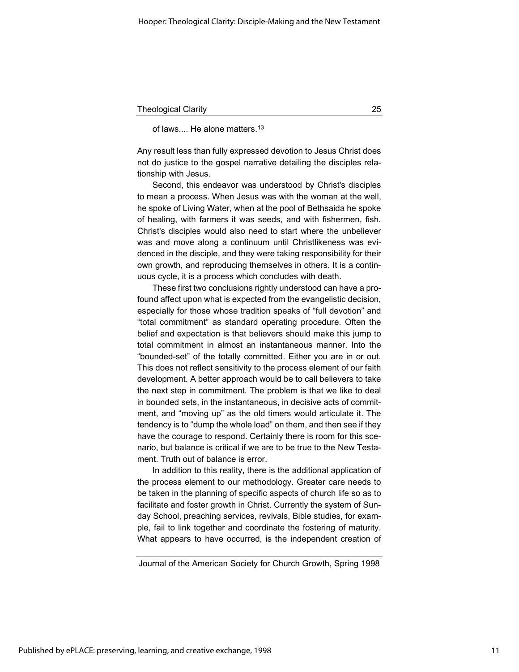of laws.... He alone matters.<sup>13</sup>

Any result less than fully expressed devotion to Jesus Christ does not do justice to the gospel narrative detailing the disciples relationship with Jesus.

Second, this endeavor was understood by Christ's disciples to mean a process. When Jesus was with the woman at the well, he spoke of Living Water, when at the pool of Bethsaida he spoke of healing, with farmers it was seeds, and with fishermen, fish. Christ's disciples would also need to start where the unbeliever was and move along a continuum until Christlikeness was evidenced in the disciple, and they were taking responsibility for their own growth, and reproducing themselves in others. It is a continuous cycle, it is a process which concludes with death.

These first two conclusions rightly understood can have a profound affect upon what is expected from the evangelistic decision, especially for those whose tradition speaks of "full devotion" and "total commitment" as standard operating procedure. Often the belief and expectation is that believers should make this jump to total commitment in almost an instantaneous manner. Into the "bounded-set" of the totally committed. Either you are in or out. This does not reflect sensitivity to the process element of our faith development. A better approach would be to call believers to take the next step in commitment. The problem is that we like to deal in bounded sets, in the instantaneous, in decisive acts of commitment, and "moving up" as the old timers would articulate it. The tendency is to "dump the whole load" on them, and then see if they have the courage to respond. Certainly there is room for this scenario, but balance is critical if we are to be true to the New Testament. Truth out of balance is error.

In addition to this reality, there is the additional application of the process element to our methodology. Greater care needs to be taken in the planning of specific aspects of church life so as to facilitate and foster growth in Christ. Currently the system of Sunday School, preaching services, revivals, Bible studies, for example, fail to link together and coordinate the fostering of maturity. What appears to have occurred, is the independent creation of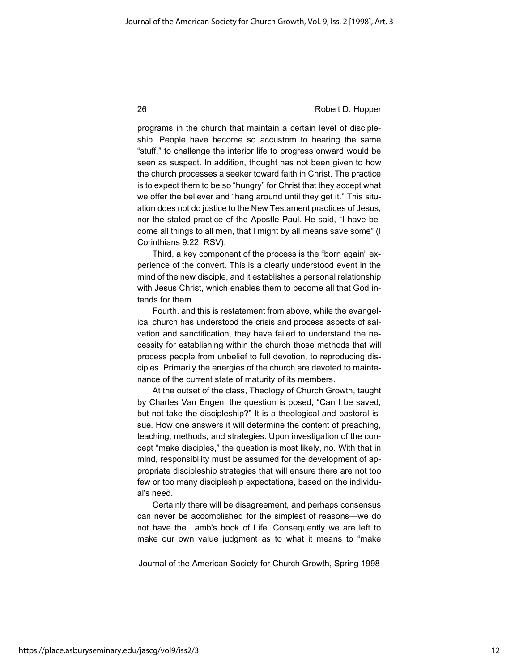programs in the church that maintain a certain level of discipleship. People have become so accustom to hearing the same "stuff," to challenge the interior life to progress onward would be seen as suspect. In addition, thought has not been given to how the church processes a seeker toward faith in Christ. The practice is to expect them to be so "hungry" for Christ that they accept what we offer the believer and "hang around until they get it." This situation does not do justice to the New Testament practices of Jesus, nor the stated practice of the Apostle Paul. He said, "I have become all things to all men, that I might by all means save some" (I Corinthians 9:22, RSV).

Third, a key component of the process is the "born again" experience of the convert. This is a clearly understood event in the mind of the new disciple, and it establishes a personal relationship with Jesus Christ, which enables them to become all that God intends for them.

Fourth, and this is restatement from above, while the evangelical church has understood the crisis and process aspects of salvation and sanctification, they have failed to understand the necessity for establishing within the church those methods that will process people from unbelief to full devotion, to reproducing disciples. Primarily the energies of the church are devoted to maintenance of the current state of maturity of its members.

At the outset of the class, Theology of Church Growth, taught by Charles Van Engen, the question is posed, "Can I be saved, but not take the discipleship?" It is a theological and pastoral issue. How one answers it will determine the content of preaching, teaching, methods, and strategies. Upon investigation of the concept "make disciples," the question is most likely, no. With that in mind, responsibility must be assumed for the development of appropriate discipleship strategies that will ensure there are not too few or too many discipleship expectations, based on the individual's need.

Certainly there will be disagreement, and perhaps consensus can never be accomplished for the simplest of reasons—we do not have the Lamb's book of Life. Consequently we are left to make our own value judgment as to what it means to "make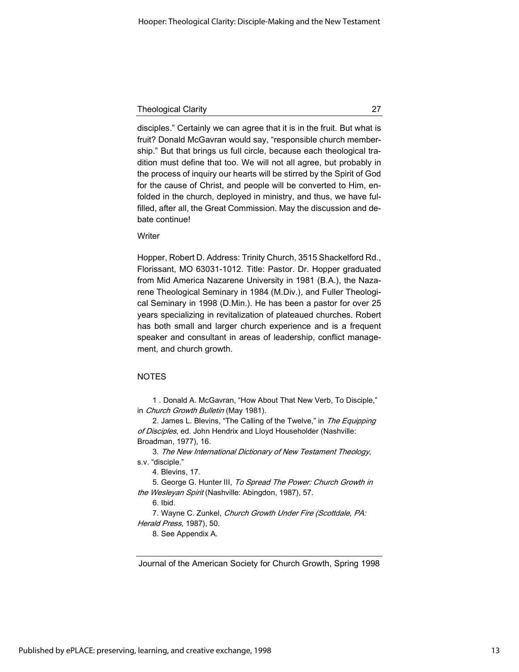disciples." Certainly we can agree that it is in the fruit. But what is fruit? Donald McGavran would say, "responsible church membership." But that brings us full circle, because each theological tradition must define that too. We will not all agree, but probably in the process of inquiry our hearts will be stirred by the Spirit of God for the cause of Christ, and people will be converted to Him, enfolded in the church, deployed in ministry, and thus, we have fulfilled, after all, the Great Commission. May the discussion and debate continue!

**Writer** 

Hopper, Robert D. Address: Trinity Church, 3515 Shackelford Rd., Florissant, MO 63031-1012. Title: Pastor. Dr. Hopper graduated from Mid America Nazarene University in 1981 (B.A.), the Nazarene Theological Seminary in 1984 (M.Div.), and Fuller Theological Seminary in 1998 (D.Min.). He has been a pastor for over 25 years specializing in revitalization of plateaued churches. Robert has both small and larger church experience and is a frequent speaker and consultant in areas of leadership, conflict management, and church growth.

## NOTES

1 . Donald A. McGavran, "How About That New Verb, To Disciple," in Church Growth Bulletin (May 1981).

2. James L. Blevins, "The Calling of the Twelve," in The Equipping of Disciples, ed. John Hendrix and Lloyd Householder (Nashville: Broadman, 1977), 16.

3. The New International Dictionary of New Testament Theology, s.v. "disciple."

4. Blevins, 17.

5. George G. Hunter III, To Spread The Power: Church Growth in the Wesleyan Spirit (Nashville: Abingdon, 1987), 57.

6. Ibid.

7. Wayne C. Zunkel, Church Growth Under Fire (Scottdale, PA: Herald Press, 1987), 50.

8. See Appendix A.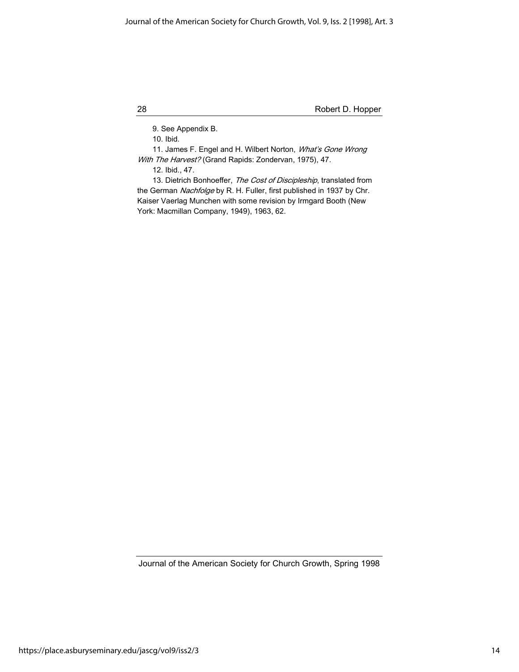9. See Appendix B.

10. Ibid.

11. James F. Engel and H. Wilbert Norton, What's Gone Wrong With The Harvest? (Grand Rapids: Zondervan, 1975), 47.

12. Ibid., 47.

13. Dietrich Bonhoeffer, The Cost of Discipleship, translated from the German Nachfolge by R. H. Fuller, first published in 1937 by Chr. Kaiser Vaerlag Munchen with some revision by Irmgard Booth (New York: Macmillan Company, 1949), 1963, 62.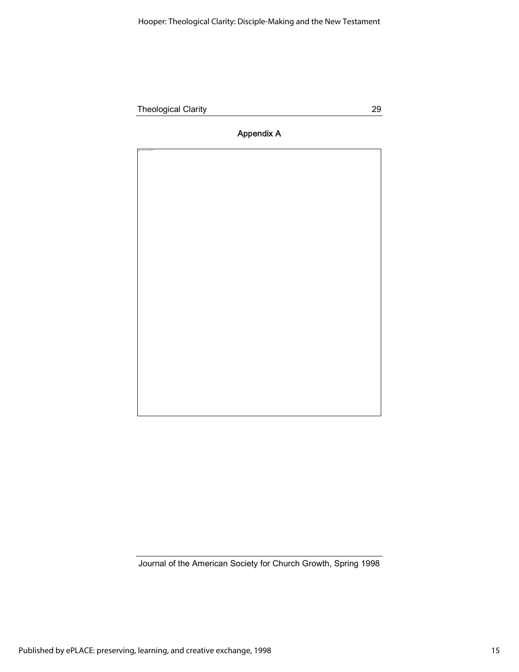## Appendix A